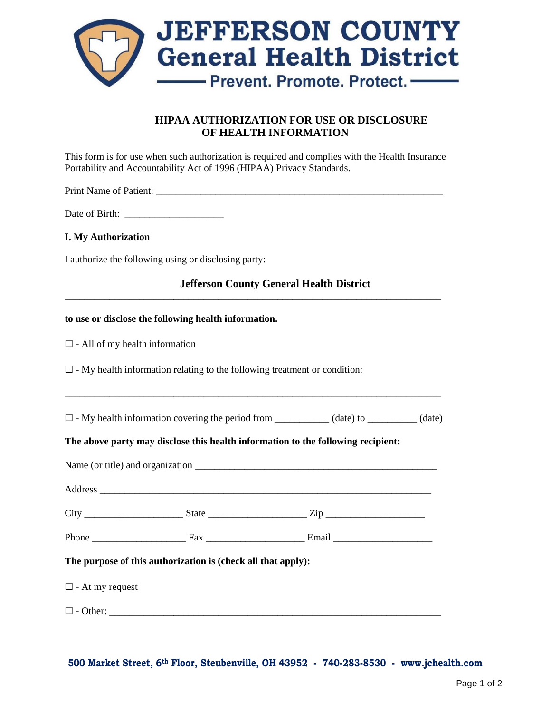

# **HIPAA AUTHORIZATION FOR USE OR DISCLOSURE OF HEALTH INFORMATION**

This form is for use when such authorization is required and complies with the Health Insurance Portability and Accountability Act of 1996 (HIPAA) Privacy Standards.

Print Name of Patient: \_\_\_\_\_\_\_\_\_\_\_\_\_\_\_\_\_\_\_\_\_\_\_\_\_\_\_\_\_\_\_\_\_\_\_\_\_\_\_\_\_\_\_\_\_\_\_\_\_\_\_\_\_\_\_\_\_\_

Date of Birth:

## **I. My Authorization**

I authorize the following using or disclosing party:

**Jefferson County General Health District**

\_\_\_\_\_\_\_\_\_\_\_\_\_\_\_\_\_\_\_\_\_\_\_\_\_\_\_\_\_\_\_\_\_\_\_\_\_\_\_\_\_\_\_\_\_\_\_\_\_\_\_\_\_\_\_\_\_\_\_\_\_\_\_\_\_\_\_\_\_\_\_\_\_\_\_\_

### **to use or disclose the following health information.**

 $\Box$  - All of my health information

 $\Box$  - My health information relating to the following treatment or condition:

| $\square$ - My health information covering the period from | (date) to | (date) |
|------------------------------------------------------------|-----------|--------|
|                                                            |           |        |
|                                                            |           |        |

\_\_\_\_\_\_\_\_\_\_\_\_\_\_\_\_\_\_\_\_\_\_\_\_\_\_\_\_\_\_\_\_\_\_\_\_\_\_\_\_\_\_\_\_\_\_\_\_\_\_\_\_\_\_\_\_\_\_\_\_\_\_\_\_\_\_\_\_\_\_\_\_\_\_\_\_

#### **The above party may disclose this health information to the following recipient:**

|  | The purpose of this authorization is (check all that apply): |  |  |  |
|--|--------------------------------------------------------------|--|--|--|

 $\Box$  - At my request

 $\Box$  - Other:

**500 Market Street, 6th Floor, Steubenville, OH 43952 - 740-283-8530 - [www.jchealth.com](http://www.jchealth.com/)**